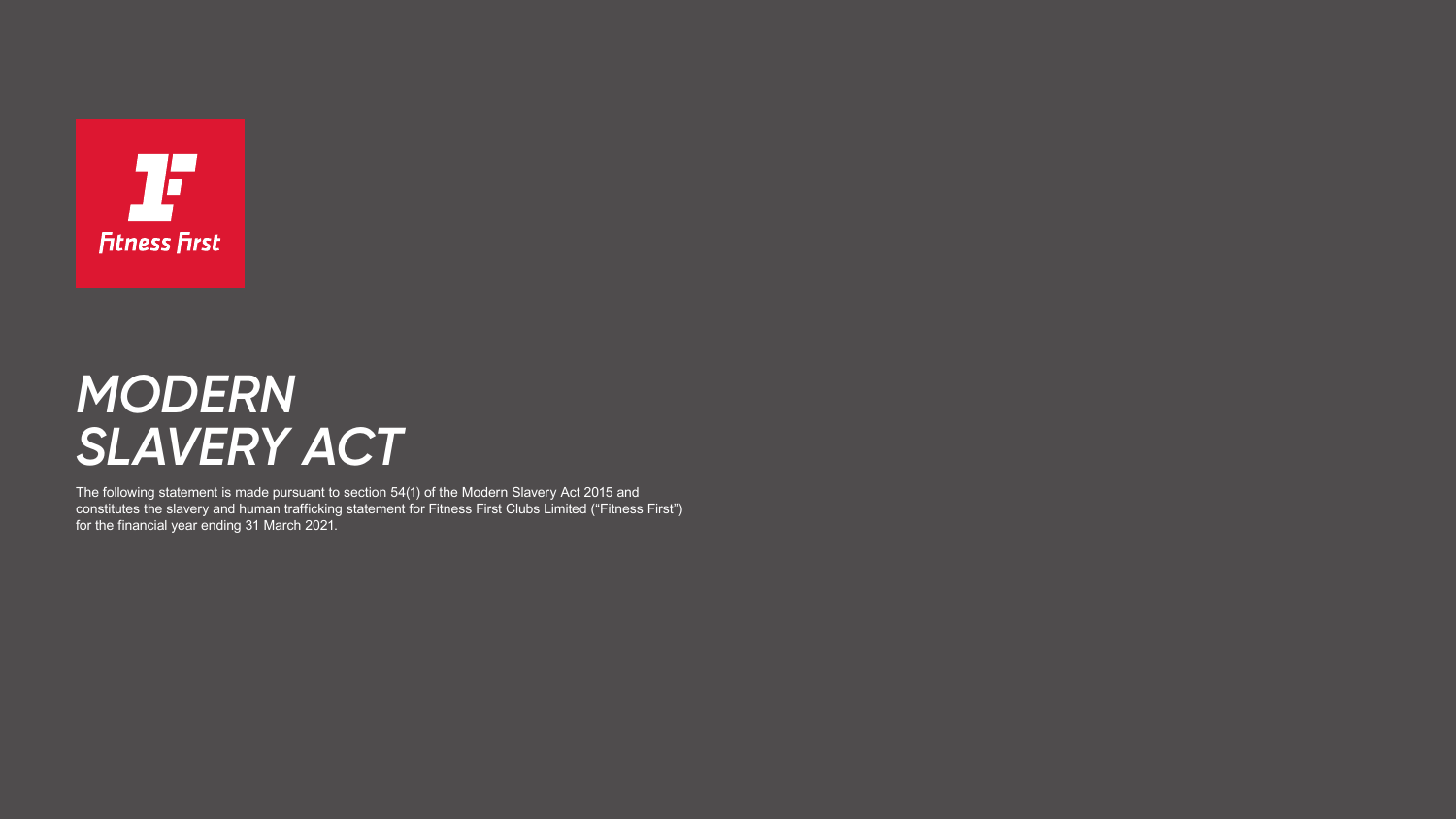

# *MODERN SLAVERY ACT*

The following statement is made pursuant to section 54(1) of the Modern Slavery Act 2015 and constitutes the slavery and human trafficking statement for Fitness First Clubs Limited ("Fitness First") for the financial year ending 31 March 2021.